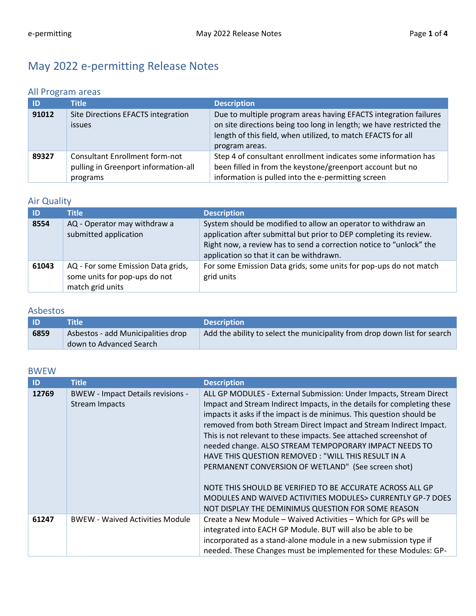# May 2022 e-permitting Release Notes

### All Program areas

| <b>ID</b> | <b>Title</b>                                                                              | <b>Description</b>                                                                                                                                                                                                        |
|-----------|-------------------------------------------------------------------------------------------|---------------------------------------------------------------------------------------------------------------------------------------------------------------------------------------------------------------------------|
| 91012     | Site Directions EFACTS integration<br><b>issues</b>                                       | Due to multiple program areas having EFACTS integration failures<br>on site directions being too long in length; we have restricted the<br>length of this field, when utilized, to match EFACTS for all<br>program areas. |
| 89327     | <b>Consultant Enrollment form-not</b><br>pulling in Greenport information-all<br>programs | Step 4 of consultant enrollment indicates some information has<br>been filled in from the keystone/greenport account but no<br>information is pulled into the e-permitting screen                                         |

# Air Quality

| -ID   | <b>Title</b>                                                                            | <b>Description</b>                                                                                                                                                                                                                                      |
|-------|-----------------------------------------------------------------------------------------|---------------------------------------------------------------------------------------------------------------------------------------------------------------------------------------------------------------------------------------------------------|
| 8554  | AQ - Operator may withdraw a<br>submitted application                                   | System should be modified to allow an operator to withdraw an<br>application after submittal but prior to DEP completing its review.<br>Right now, a review has to send a correction notice to "unlock" the<br>application so that it can be withdrawn. |
| 61043 | AQ - For some Emission Data grids,<br>some units for pop-ups do not<br>match grid units | For some Emission Data grids, some units for pop-ups do not match<br>grid units                                                                                                                                                                         |

### Asbestos

| - ID | Title                              | <b>Description</b>                                                        |
|------|------------------------------------|---------------------------------------------------------------------------|
| 6859 | Asbestos - add Municipalities drop | Add the ability to select the municipality from drop down list for search |
|      | down to Advanced Search            |                                                                           |

#### BWEW

| ID    | <b>Title</b>                                                      | <b>Description</b>                                                                                                                                                                                                                                                                                                                                                                                                                                                                                                                                                                                                                                                                                                      |
|-------|-------------------------------------------------------------------|-------------------------------------------------------------------------------------------------------------------------------------------------------------------------------------------------------------------------------------------------------------------------------------------------------------------------------------------------------------------------------------------------------------------------------------------------------------------------------------------------------------------------------------------------------------------------------------------------------------------------------------------------------------------------------------------------------------------------|
| 12769 | <b>BWEW - Impact Details revisions -</b><br><b>Stream Impacts</b> | ALL GP MODULES - External Submission: Under Impacts, Stream Direct<br>Impact and Stream Indirect Impacts, in the details for completing these<br>impacts it asks if the impact is de minimus. This question should be<br>removed from both Stream Direct Impact and Stream Indirect Impact.<br>This is not relevant to these impacts. See attached screenshot of<br>needed change. ALSO STREAM TEMPOPORARY IMPACT NEEDS TO<br>HAVE THIS QUESTION REMOVED: "WILL THIS RESULT IN A<br>PERMANENT CONVERSION OF WETLAND" (See screen shot)<br>NOTE THIS SHOULD BE VERIFIED TO BE ACCURATE ACROSS ALL GP<br>MODULES AND WAIVED ACTIVITIES MODULES> CURRENTLY GP-7 DOES<br>NOT DISPLAY THE DEMINIMUS QUESTION FOR SOME REASON |
| 61247 | <b>BWEW - Waived Activities Module</b>                            | Create a New Module – Waived Activities – Which for GPs will be<br>integrated into EACH GP Module. BUT will also be able to be<br>incorporated as a stand-alone module in a new submission type if<br>needed. These Changes must be implemented for these Modules: GP-                                                                                                                                                                                                                                                                                                                                                                                                                                                  |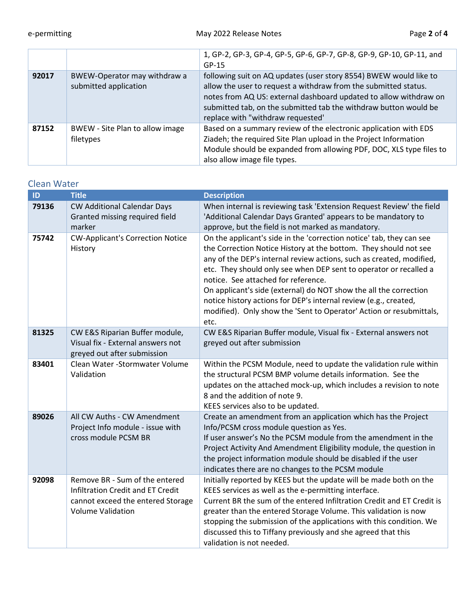|       |                                                       | 1, GP-2, GP-3, GP-4, GP-5, GP-6, GP-7, GP-8, GP-9, GP-10, GP-11, and<br>$GP-15$                                                                                                                                                                                                                                    |
|-------|-------------------------------------------------------|--------------------------------------------------------------------------------------------------------------------------------------------------------------------------------------------------------------------------------------------------------------------------------------------------------------------|
| 92017 | BWEW-Operator may withdraw a<br>submitted application | following suit on AQ updates (user story 8554) BWEW would like to<br>allow the user to request a withdraw from the submitted status.<br>notes from AQ US: external dashboard updated to allow withdraw on<br>submitted tab, on the submitted tab the withdraw button would be<br>replace with "withdraw requested" |
| 87152 | BWEW - Site Plan to allow image<br>filetypes          | Based on a summary review of the electronic application with EDS<br>Ziadeh; the required Site Plan upload in the Project Information<br>Module should be expanded from allowing PDF, DOC, XLS type files to<br>also allow image file types.                                                                        |

### Clean Water

| ID    | <b>Title</b>                                                                                                                         | <b>Description</b>                                                                                                                                                                                                                                                                                                                                                                                                                                                                                                                                   |
|-------|--------------------------------------------------------------------------------------------------------------------------------------|------------------------------------------------------------------------------------------------------------------------------------------------------------------------------------------------------------------------------------------------------------------------------------------------------------------------------------------------------------------------------------------------------------------------------------------------------------------------------------------------------------------------------------------------------|
| 79136 | <b>CW Additional Calendar Days</b><br>Granted missing required field<br>marker                                                       | When internal is reviewing task 'Extension Request Review' the field<br>'Additional Calendar Days Granted' appears to be mandatory to<br>approve, but the field is not marked as mandatory.                                                                                                                                                                                                                                                                                                                                                          |
| 75742 | <b>CW-Applicant's Correction Notice</b><br>History                                                                                   | On the applicant's side in the 'correction notice' tab, they can see<br>the Correction Notice History at the bottom. They should not see<br>any of the DEP's internal review actions, such as created, modified,<br>etc. They should only see when DEP sent to operator or recalled a<br>notice. See attached for reference.<br>On applicant's side (external) do NOT show the all the correction<br>notice history actions for DEP's internal review (e.g., created,<br>modified). Only show the 'Sent to Operator' Action or resubmittals,<br>etc. |
| 81325 | CW E&S Riparian Buffer module,<br>Visual fix - External answers not<br>greyed out after submission                                   | CW E&S Riparian Buffer module, Visual fix - External answers not<br>greyed out after submission                                                                                                                                                                                                                                                                                                                                                                                                                                                      |
| 83401 | Clean Water - Stormwater Volume<br>Validation                                                                                        | Within the PCSM Module, need to update the validation rule within<br>the structural PCSM BMP volume details information. See the<br>updates on the attached mock-up, which includes a revision to note<br>8 and the addition of note 9.<br>KEES services also to be updated.                                                                                                                                                                                                                                                                         |
| 89026 | All CW Auths - CW Amendment<br>Project Info module - issue with<br>cross module PCSM BR                                              | Create an amendment from an application which has the Project<br>Info/PCSM cross module question as Yes.<br>If user answer's No the PCSM module from the amendment in the<br>Project Activity And Amendment Eligibility module, the question in<br>the project information module should be disabled if the user<br>indicates there are no changes to the PCSM module                                                                                                                                                                                |
| 92098 | Remove BR - Sum of the entered<br>Infiltration Credit and ET Credit<br>cannot exceed the entered Storage<br><b>Volume Validation</b> | Initially reported by KEES but the update will be made both on the<br>KEES services as well as the e-permitting interface.<br>Current BR the sum of the entered Infiltration Credit and ET Credit is<br>greater than the entered Storage Volume. This validation is now<br>stopping the submission of the applications with this condition. We<br>discussed this to Tiffany previously and she agreed that this<br>validation is not needed.                                                                                                         |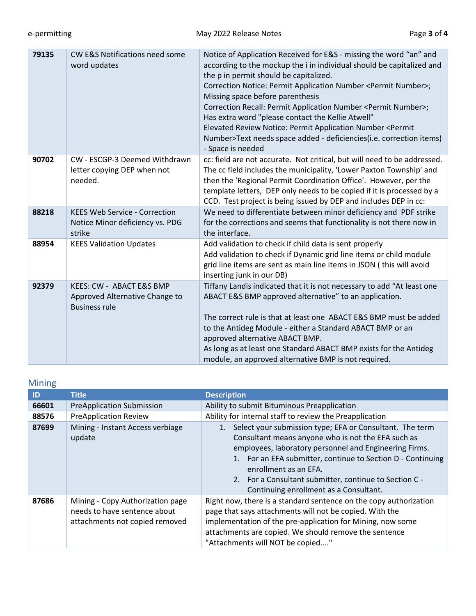| 79135 | <b>CW E&amp;S Notifications need some</b><br>word updates                          | Notice of Application Received for E&S - missing the word "an" and<br>according to the mockup the i in individual should be capitalized and<br>the p in permit should be capitalized.<br>Correction Notice: Permit Application Number <permit number="">;<br/>Missing space before parenthesis<br/>Correction Recall: Permit Application Number <permit number="">;<br/>Has extra word "please contact the Kellie Atwell"<br/>Elevated Review Notice: Permit Application Number <permit<br>Number&gt;Text needs space added - deficiencies(i.e. correction items)<br/>- Space is needed</permit<br></permit></permit> |
|-------|------------------------------------------------------------------------------------|-----------------------------------------------------------------------------------------------------------------------------------------------------------------------------------------------------------------------------------------------------------------------------------------------------------------------------------------------------------------------------------------------------------------------------------------------------------------------------------------------------------------------------------------------------------------------------------------------------------------------|
| 90702 | CW - ESCGP-3 Deemed Withdrawn<br>letter copying DEP when not<br>needed.            | cc: field are not accurate. Not critical, but will need to be addressed.<br>The cc field includes the municipality, 'Lower Paxton Township' and<br>then the 'Regional Permit Coordination Office'. However, per the<br>template letters, DEP only needs to be copied if it is processed by a<br>CCD. Test project is being issued by DEP and includes DEP in cc:                                                                                                                                                                                                                                                      |
| 88218 | <b>KEES Web Service - Correction</b><br>Notice Minor deficiency vs. PDG<br>strike  | We need to differentiate between minor deficiency and PDF strike<br>for the corrections and seems that functionality is not there now in<br>the interface.                                                                                                                                                                                                                                                                                                                                                                                                                                                            |
| 88954 | <b>KEES Validation Updates</b>                                                     | Add validation to check if child data is sent properly<br>Add validation to check if Dynamic grid line items or child module<br>grid line items are sent as main line items in JSON (this will avoid<br>inserting junk in our DB)                                                                                                                                                                                                                                                                                                                                                                                     |
| 92379 | KEES: CW - ABACT E&S BMP<br>Approved Alternative Change to<br><b>Business rule</b> | Tiffany Landis indicated that it is not necessary to add "At least one<br>ABACT E&S BMP approved alternative" to an application.<br>The correct rule is that at least one ABACT E&S BMP must be added<br>to the Antideg Module - either a Standard ABACT BMP or an<br>approved alternative ABACT BMP.<br>As long as at least one Standard ABACT BMP exists for the Antideg<br>module, an approved alternative BMP is not required.                                                                                                                                                                                    |

# Mining

| ID    | <b>Title</b>                                                                                       | <b>Description</b>                                                                                                                                                                                                                                                                                                                                                   |
|-------|----------------------------------------------------------------------------------------------------|----------------------------------------------------------------------------------------------------------------------------------------------------------------------------------------------------------------------------------------------------------------------------------------------------------------------------------------------------------------------|
| 66601 | <b>PreApplication Submission</b>                                                                   | Ability to submit Bituminous Preapplication                                                                                                                                                                                                                                                                                                                          |
| 88576 | <b>PreApplication Review</b>                                                                       | Ability for internal staff to review the Preapplication                                                                                                                                                                                                                                                                                                              |
| 87699 | Mining - Instant Access verbiage<br>update                                                         | Select your submission type; EFA or Consultant. The term<br>Consultant means anyone who is not the EFA such as<br>employees, laboratory personnel and Engineering Firms.<br>1. For an EFA submitter, continue to Section D - Continuing<br>enrollment as an EFA.<br>2. For a Consultant submitter, continue to Section C -<br>Continuing enrollment as a Consultant. |
| 87686 | Mining - Copy Authorization page<br>needs to have sentence about<br>attachments not copied removed | Right now, there is a standard sentence on the copy authorization<br>page that says attachments will not be copied. With the<br>implementation of the pre-application for Mining, now some<br>attachments are copied. We should remove the sentence<br>"Attachments will NOT be copied"                                                                              |